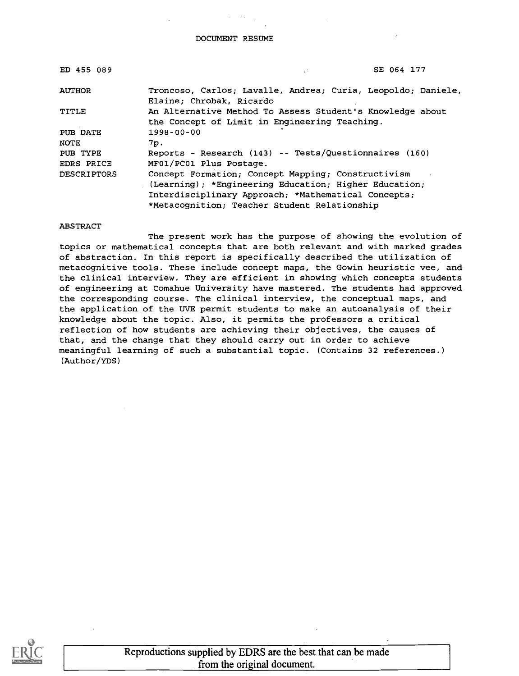DOCUMENT RESUME

| ED 455 089             | SE 064 177                                                                                                                                                                                                         |
|------------------------|--------------------------------------------------------------------------------------------------------------------------------------------------------------------------------------------------------------------|
| <b>AUTHOR</b>          | Troncoso, Carlos; Lavalle, Andrea; Curia, Leopoldo; Daniele,<br>Elaine; Chrobak, Ricardo                                                                                                                           |
| TITLE                  | An Alternative Method To Assess Student's Knowledge about<br>the Concept of Limit in Engineering Teaching.                                                                                                         |
| PUB DATE               | $1998 - 00 - 00$                                                                                                                                                                                                   |
| <b>NOTE</b>            | 7p.                                                                                                                                                                                                                |
| PUB TYPE<br>EDRS PRICE | Reports - Research (143) -- Tests/Questionnaires (160)<br>MF01/PC01 Plus Postage.                                                                                                                                  |
| <b>DESCRIPTORS</b>     | Concept Formation; Concept Mapping; Constructivism<br>(Learning); *Engineering Education; Higher Education;<br>Interdisciplinary Approach; *Mathematical Concepts;<br>*Metacognition; Teacher Student Relationship |

#### ABSTRACT

The present work has the purpose of showing the evolution of topics or mathematical concepts that are both relevant and with marked grades of abstraction. In this report is specifically described the utilization of metacognitive tools. These include concept maps, the Gowin heuristic vee, and the clinical interview. They are efficient in showing which concepts students of engineering at Comahue University have mastered. The students had approved the corresponding course. The clinical interview, the conceptual maps, and the application of the UVE permit students to make an autoanalysis of their knowledge about the topic. Also, it permits the professors a critical reflection of how students are achieving their objectives, the causes of that, and the change that they should carry out in order to achieve meaningful learning of such a substantial topic. (Contains 32 references.) (Author/YDS)



Reproductions supplied by EDRS are the best that can be made from the original document.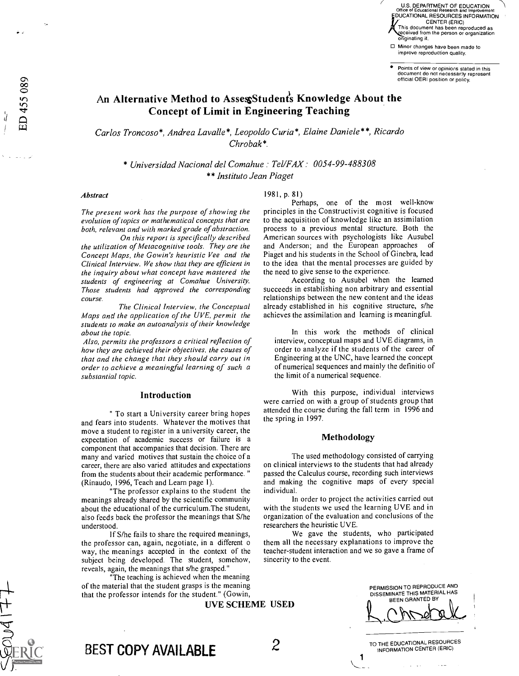U.S. DEPARTMENT OF EDUCATION Office of Educational Research and Improvement EDUCATIONAL RESOURCES INFORMATION CENTER (ERIC) This document has been reproduced as eceived from the person or organization originating it.

Minor changes have been made to improve reproduction quality.

Points of view or opinions stated in this document do not necessarily represent official OERI position or policy.

# An Alternative Method to AssessStudenis Knowledge About the Concept of Limit in Engineering Teaching

Carlos Troncoso\*, Andrea Lavalle\*, Leopoldo Curia\*, Elaine Daniele\*\*, Ricardo Chrobak\*.

\* Universidad Nacional del Comahue Tel/FAX : 0054-99-488308 \*\* Institute Jean Piaget

#### Abstract

ED 455 089

The present work has the purpose of showing the evolution of topics or mathematical concepts that are both, relevant and with marked grade of abstraction.

On this report is specifically described the utilization of Metacognitive tools. They are the Concept Maps, the Gowin's heuristic Vee and the Clinical Interview. We show that they are efficient in the inquiry about what concept have mastered the students of engineering at Comahue University. Those students had approved the corresponding course.

The Clinical Interview, the Conceptual Maps and the application of the UVE, permit the students to make an autoanalysis of their knowledge about the topic.

Also, permits the professors a critical reflection of how they are achieved their objectives, the causes of that and the change that they should carry out in order to achieve a meaningful learning of such a substantial topic.

# Introduction

" To start a University career bring hopes and fears into students. Whatever the motives that move a student to register in a university career, the expectation of academic success or failure is a component that accompanies that decision. There are many and varied motives that sustain the choice of a career, there are also varied attitudes and expectations from the students about their academic performance. " (Rinaudo, 1996, Teach and Learn page 1).

The professor explains to the student the meanings already shared by the scientific community about the educational of the curriculum.The student, also feeds back the professor the meanings that S/he understood.

If S/he fails to share the required meanings, the professor can, again, negotiate, in a different o way, the meanings accepted in the context of the subject being developed. The student, somehow, reveals, again, the meanings that s/he grasped."

"The teaching is achieved when the meaning of the material that the student grasps is the meaning that the professor intends for the student." (Gowin,

UVE SCHEME USED

# 1981, p. 81)

Perhaps, one of the most well-know principles in the Constructivist cognitive is focused to the acquisition of knowledge like an assimilation process to a previous mental structure. Both the American sources with psychologists like Ausubel<br>and Anderson: and the European approaches of and Anderson; and the European approaches Piaget and his students in the School of Ginebra, lead to the idea that the mental processes are guided by the need to give sense to the experience.

According to Ausubel when the learned succeeds in establishing non arbitrary and essential relationships between the new content and the ideas already established in his cognitive structure, s/he achieves the assimilation and learning is meaningful.

In this work the methods of clinical interview, conceptual maps and UVE diagrams, in order to analyze if the students of the career of Engineering at the UNC, have learned the concept of numerical sequences and mainly the definitio of the limit of a numerical sequence.

With this purpose, individual interviews were carried on with a group of students group that attended the course during the fall term in 1996 and the spring in 1997.

#### Methodology

The used methodology consisted of carrying on clinical interviews to the students that had already passed the Calculus course, recording such interviews and making the cognitive maps of every special individual.

In order to project the activities carried out with the students we used the learning UVE and in organization of the evaluation and conclusions of the researchers the heuristic UVE.

We gave the students, who participated them all the necessary explanations to improve the teacher-student interaction and we so gave a frame of sincerity to the event.

> PERMISSION TO REPRODUCE AND DISSEMINATE THIS MATERIAL HAS BEEN GRANTED BY

TO THE EDUCATIONAL RESOURCES INFORMATION CENTER (ERIC)

BEST COPY AVAILABLE 2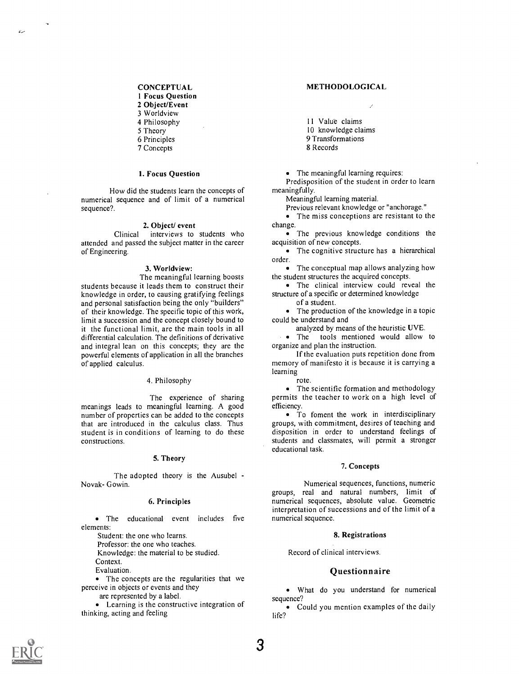# **CONCEPTUAL**

1 Focus Question

2 Object/Event

3 Worldview

4 Philosophy

5 Theory

6 Principles

7 Concepts

## 1. Focus Question

How did the students learn the concepts of numerical sequence and of limit of a numerical sequence?.

#### 2. Object/ event

Clinical interviews to students who attended and passed the subject matter in the career of Engineering.

# 3. Worldview:

The meaningful learning boosts students because it leads them to construct their knowledge in order, to causing gratifying feelings and personal satisfaction being the only "builders" of their knowledge. The specific topic of this work, limit a succession and the concept closely bound to it the functional limit, are the main tools in all differential calculation. The definitions of derivative and integral lean on this concepts; they are the powerful elements of application in all the branches of applied calculus.

#### 4. Philosophy

The experience of sharing meanings leads to meaningful learning. A good number of properties can be added to the concepts that are introduced in the calculus class. Thus student is in conditions of learning to do these constructions.

#### 5. Theory

The adopted theory is the Ausubel - Novak- Gowin.

#### 6. Principles

The educational event includes five elements:

Student: the one who learns.

Professor: the one who teaches.

Knowledge: the material to be studied.

Context.

Evaluation.

• The concepts are the regularities that we perceive in objects or events and they

are represented by a label.

Learning is the constructive integration of thinking, acting and feeling

#### METHODOLOGICAL

11 Value claims

10 knowledge claims

9 Transformations

8 Records

• The meaningful learning requires:

Predisposition of the student in order to learn meaningfully.

Meaningful learning material.

Previous relevant knowledge or "anchorage."

• The miss conceptions are resistant to the change.

• The previous knowledge conditions the acquisition of new concepts.

• The cognitive structure has a hierarchical order.

The conceptual map allows analyzing how the student structures the acquired concepts.

The clinical interview could reveal the structure of a specific or determined knowledge

of a student.

The production of the knowledge in a topic could be understand and

analyzed by means of the heuristic UVE.

The tools mentioned would allow to organize and plan the instruction.

If the evaluation puts repetition done from memory of manifesto it is because it is carrying a learning

rote.

• The scientific formation and methodology permits the teacher to work on a high level of efficiency.

To foment the work in interdisciplinary groups, with commitment, desires of teaching and disposition in order to understand feelings of students and classmates, will permit a stronger educational task.

## 7. Concepts

Numerical sequences, functions, numeric groups, real and natural numbers, limit of numerical sequences, absolute value. Geometric interpretation of successions and of the limit of a numerical sequence.

## 8. Registrations

Record of clinical interviews.

# **Questionnaire**

What do you understand for numerical sequence?

Could you mention examples of the daily life?

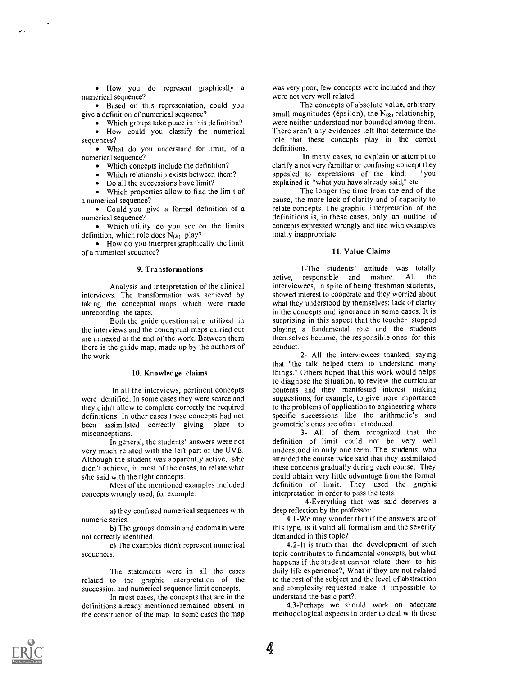How you do represent graphically a numerical sequence?

• Based on this representation, could you give a definition of numerical sequence?

Which groups take place in this definition?

How could you classify the numerical sequences?

What do you understand for limit, of a numerical sequence?

Which concepts include the definition?

Which relationship exists between them?

Do all the successions have limit?

Which properties allow to find the limit of a numerical sequence?

Could you give a formal definition of a numerical sequence?

Which utility do you see on the limits definition, which role does  $N_{(k)}$  play?

How do you interpret graphically the limit of a numerical sequence?

#### 9. Transformations

Analysis and interpretation of the clinical interviews. The transformation was achieved by taking the conceptual maps which were made unrecording the tapes.

Both the guide questionnaire utilized in the interviews and the conceptual maps carried out are annexed at the end of the work. Between them there is the guide map, made up by the authors of the work.

## 10. Knowledge claims

In all the interviews, pertinent concepts were identified. In some cases they were scarce and they didn't allow to complete correctly the required definitions. In other cases these concepts had not been assimilated correctly giving place to misconceptions.

In general, the students' answers were not very much related with the left part of the UVE. Although the student was apparently active, s/he didn't achieve, in most of the cases, to relate what s/he said with the right concepts.

Most of the mentioned examples included concepts wrongly used, for example:

a) they confused numerical sequences with numeric series.

b) The groups domain and codomain were not correctly identified.

c) The examples didn't represent numerical sequences.

The statements were in all the cases related to the graphic interpretation of the succession and numerical sequence limit concepts.

In most cases, the concepts that are in the definitions already mentioned remained absent in the construction of the map. In some cases the map

was very poor, few concepts were included and they were not very well related.

The concepts of absolute value, arbitrary small magnitudes (épsilon), the  $N_{(k)}$  relationship, were neither understood nor bounded among them. There aren't any evidences left that determine the role that these concepts play in the correct definitions.

In many cases, to explain or attempt to clarify a not very familiar or confusing concept they appealed to expressions of the kind: "you explained it, "what you have already said," etc.

The longer the time from the end of the cause, the more lack of clarity and of capacity to relate concepts. The graphic interpretation of the definitions is, in these cases, only an outline of concepts expressed wrongly and tied with examples totally inappropriate.

# 11. Value Claims

1-The students' attitude was totally<br>responsible and mature All the active, responsible and mature. All interviewees, in spite of being freshman students, showed interest to cooperate and they worried about what they understood by themselves: lack of clarity in the concepts and ignorance in some cases. It is surprising in this aspect that the teacher stopped playing a fundamental role and the students themselves became, the responsible ones for this conduct.

2- All the interviewees thanked, saying that "the talk helped them to understand many things." Others hoped that this work would helps to diagnose the situation, to review the curricular contents and they manifested interest making suggestions, for example, to give more importance to the problems of application to engineering where specific successions like the arithmetic's and geometric's ones are often introduced.

3- All of them recognized that the definition of limit could not be very well understood in only one term. The students who attended the course twice said that they assimilated these concepts gradually during each course. They could obtain very little advantage from the formal definition of limit. They used the graphic interpretation in order to pass the tests.

4-Everything that was said deserves a deep reflection by the professor:

4.1-We may wonder that if the answers are of this type, is it valid all formalism and the severity demanded in this topic?

4.2-It is truth that the development of such topic contributes to fundamental concepts, but what happens if the student cannot relate them to his daily life experience?, What if they are not related to the rest of the subject and the level of abstraction and complexity requested make it impossible to understand the basic part?.

4.3-Perhaps we should work on adequate methodological aspects in order to deal with these

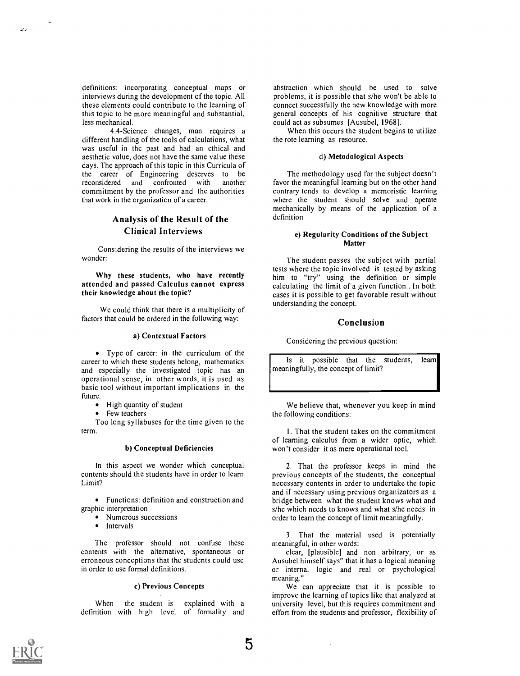definitions: incorporating conceptual maps or interviews during the development of the topic. All these elements could contribute to the learning of this topic to be more meaningful and substantial, less mechanical.

4.4-Science changes, man requires a different handling of the tools of calculations, what was useful in the past and had an ethical and aesthetic value, does not have the same value these days. The approach of this topic in this Curricula of the career of Engineering deserves to be reconsidered and confronted with another reconsidered and confronted with commitment by the professor and the authorities that work in the organization of a career.

# Analysis of the Result of the Clinical Interviews

Considering the results of the interviews we wonder:

Why these students, who have recently attended and passed Calculus cannot express their knowledge about the topic?

We could think that there is a multiplicity of factors that could be ordered in the following way:

## a) Contextual Factors

Type of career: in the curriculum of the career to which these students belong, mathematics and especially the investigated topic has an operational sense, in other words, it is used as basic tool without important implications in the future.

- High quantity of student
- Few teachers

Too long syllabuses for the time given to the term.

## b) Conceptual Deficiencies

In this aspect we wonder which conceptual contents should the students have in order to learn Limit?

Functions: definition and construction and graphic interpretation

- Numerous successions
- Intervals

The professor should not confuse these contents with the alternative, spontaneous or erroneous conceptions that the students could use in order to use formal definitions.

#### c) Previous Concepts

When the student is explained with adefinition with high level of formality and

abstraction which should be used to solve problems, it is possible that s/he won't be able to connect successfully the new knowledge with more general concepts of his cognitive structure that could act as subsumes [Ausubel, 1968].

When this occurs the student begins to utilize the rote learning as resource.

# d) Metodological Aspects

The methodology used for the subject doesn't favor the meaningful learning but on the other hand contrary tends to develop a memoristic learning where the student should solve and operate mechanically by means of the application of a definition

## e) Regularity Conditions of the Subject Matter

The student passes the subject with partial tests where the topic involved is tested by asking him to "try" using the definition or simple calculating the limit of a given function.. In both cases it is possible to get favorable result without understanding the concept.

# Conclusion

Considering the previous question:

Is it possible that the students, learn meaningfully, the concept of limit?

We believe that, whenever you keep in mind the following conditions:

1. That the student takes on the commitment of learning calculus from a wider optic, which won't consider it as mere operational tool.

2. That the professor keeps in mind the previous concepts of the students, the conceptual necessary contents in order to undertake the topic and if necessary using previous organizators as a bridge between what the student knows what and s/he which needs to knows and what s/he needs in order to learn the concept of limit meaningfully.

3. That the material used is potentially meaningful, in other words:

clear, [plausible] and non arbitrary, or as Ausubel himself says" that it has a logical meaning or internal logic and real or psychological meaning."

We can appreciate that it is possible to improve the learning of topics like that analyzed at university level, but this requires commitment and effort from the students and professor, flexibility of

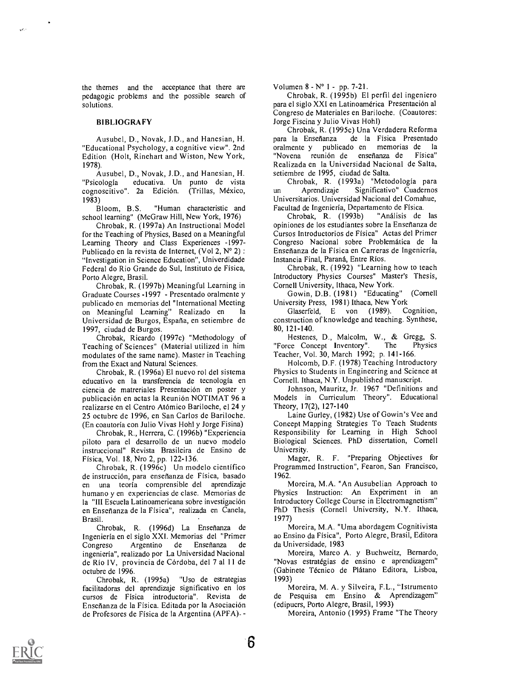the themes and the acceptance that there are pedagogic problems and the possible search of solutions.

# **BIBLIOGRAFY**

Ausubel, D., Novak, J.D., and Hanesian, H. "Educational Psychology, a cognitive view". 2nd Edition (Holt, Rinehart and Wiston, New York, 1978).

Ausubel, D., Novak, J.D., and Hanesian, H. educativa. Un punto de vista<br>2a Edición (Trillas México - un cognoscitivo". 2a Edición. (Trillas, México,

1983)<br>Bloom, B.S. "Human characteristic and school learning" (McGraw Hill, New York, 1976)

Chrobak, R. (1997a) An Instructional Model for the Teaching of Physics, Based on a Meaningful Learning Theory and Class Experiences -1997- Publicado en la revista de Internet, (Vol 2, N° 2) : "Investigation in Science Education", Univerdidade Federal do Rio Grande do Sul, Instituto de Fisica, Porto Alegre, Brasil.

Chrobak, R. (1997b) Meaningful Learning in Graduate Courses -1997 - Presentado oralmente y publicado en memorias del "International Meeting on Meaningful Learning" Realizado en Universidad de Burgos, Espana, en setiembre de 1997, ciudad de Burgos.

Chrobak, Ricardo (1997c) "Methodology of Teaching of Sciences" (Material utilized in him modulates of the same name). Master in Teaching from the Exact and Natural Sciences.

Chrobak, R. (1996a) El nuevo rol del sistema educativo en la transferencia de tecnologia en ciencia de matreriales Presentacion en poster y publicación en actas la Reunión NOTIMAT 96 a realizarse en el Centro Atómico Bariloche, el 24 y 25 octubre de 1996, en San Carlos de Bariloche. (En coautoria con Julio Vivas Hohl y Jorge Fisina)

Chrobak, R., Herrera, C. (1996b) "Experiencia piloto para el desarrollo de un nuevo modelo instruccional" Revista Brasileira de Ensino de Fisica, Vol. 18, Nro 2, pp. 122-136.

Chrobak, R. (1996c) Un modelo cientifico de instrucción, para enseñanza de Física, basado en una teoria comprensible del aprendizaje humano y en experiencias de clase. Memorias de la "III Escuela Latinoamericana sobre investigación en Ensenanza de la Fisica", realizada en Canela, Brasil.

Chrobak, R. (1996d) La Ensenanza de Ingenieria en el siglo XXI. Memorias del "Primer Congreso Argentino de Enseñanza de ingenieria", realizado por La Universidad Nacional de Rio IV, provincia de Cordoba, del 7 al 11 de octubre de 1996.

Chrobak, R. (1995a) "Uso de estrategias facilitadoras del aprendizaje significativo en los cursos de Fisica introductoria". Revista de Enseñanza de la Física. Editada por la Asociación de Profesores de Fisica de la Argentina (APFA). -

Volumen 8 - N° 1 - pp. 7-21.

Chrobak, R. (1995b) El perfil del ingeniero para el siglo XXI en Latinoamérica Presentación al Congreso de Materiales en Bariloche. (Coautores: Jorge Fiscina y Julio Vivas Hohl)

Chrobak, R. (1995c) Una Verdadera Reforma para la Enseñanza de la Física Presentado<br>oralmente y publicado en memorias de la oralmente y publicado en memorias de la "Novena reunión de enseñanza de Realizada en la Universidad Nacional de Salta, setiembre de 1995, ciudad de Salta.

Chrobak, R. (1993a) "Metodologia para Significativo" Cuadernos Universitarios. Universidad Nacional del Comahue, Facultad de Ingenieria, Departamento de Fisica.

Chrobak, R. (1993b) opiniones de los estudiantes sobre la Ensenanza de Cursos Introductorios de Fisica" Actas del Primer Congreso Nacional sobre Problematica de la Ensenanza de la Fisica en Carreras de Ingenieria, Instancia Final, Paraná, Entre Ríos.

Chrobak, R. (1992) "Learning how to teach Introductory Physics Courses" Master's Thesis, Cornell University, Ithaca, New York.

Gowin, D.B. (1981) "Educating" (Cornell University Press, 1981) Ithaca, New York<br>Glaserfeld. E von (1989). Cognition,

Glaserfeld, E von (1989). construction of knowledge and teaching. Synthese, 80, 121-140.

Hestenes, D., Malcolm, W., & Gregg, S.<br>ce Concept Inventory". The Physics "Force Concept Inventory" Teacher, Vol. 30, March 1992; p. 141-166.

Holcomb, D.F. (1978) Teaching Introductory Physics to Students in Engineering and Science at Cornell. Ithaca, N.Y. Unpublished manuscript.

Johnson, Mauritz, Jr. 1967 "Definitions and Models in Curriculum Theory". Educational Theory, 17(2), 127-140

Laine Gurley, (1982) Use of Gowin's Vee and Concept Mapping Strategies To Teach Students Responsibility for Learning in High School Biological Sciences. PhD dissertation, Cornell University.

Mager, R. F. "Preparing Objectives for Programmed Instruction", Fearon, San Francisco, 1962.

Moreira, M.A. "An Ausubelian Approach to Physics Instruction: An Experiment in an Introductory College Course in Electromagnetism" PhD Thesis (Cornell University, N.Y. Ithaca, 1977)

Moreira, M.A. "Uma abordagem Cognitivista ao Ensino da Fisica", Porto Alegre, Brasil, Editora da Universidade, 1983

Moreira, Marco A. y Buchweitz, Bernardo, "Novas estratégias de ensino e aprendizagem" (Gabinete Tecnico de Platano Editora, Lisboa, 1993)

Moreira, M. A. y Silveira, F.L., "Istrumento de Pesquisa em Ensino & Aprendizagem" (edipucrs, Porto Alegre, Brasil, 1993)

Moreira, Antonio (1995) Frame "The Theory

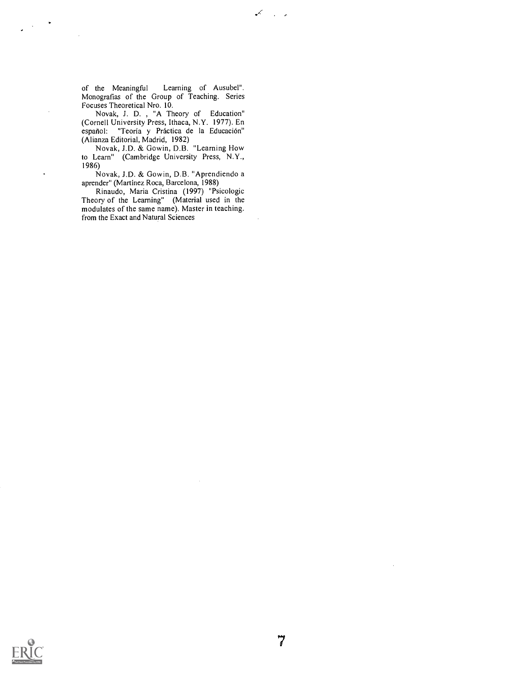of the Meaningful Learning of Ausubel". Monografias of the Group of Teaching. Series Focuses Theoretical Nro. 10.

 $\mathcal{L}$  $\sim 10^{-12}$ 

Novak, J. D. , "A Theory of Education" (Cornell University Press, Ithaca, N.Y. 1977). En español: "Teoría y Práctica de la Educación" (Alianza Editorial, Madrid, 1982)

Novak, J.D. & Gowin, D.B. "Learning How to Learn" (Cambridge University Press, N.Y., 1986)

Novak, J.D. & Gowin, D.B. "Aprendiendo a aprender" (Martinez Roca, Barcelona, 1988)

Rinaudo, Maria Cristina (1997) "Psicologic Theory of the Learning" (Material used in the modulates of the same name). Master in teaching. from the Exact and Natural Sciences



 $\sim$